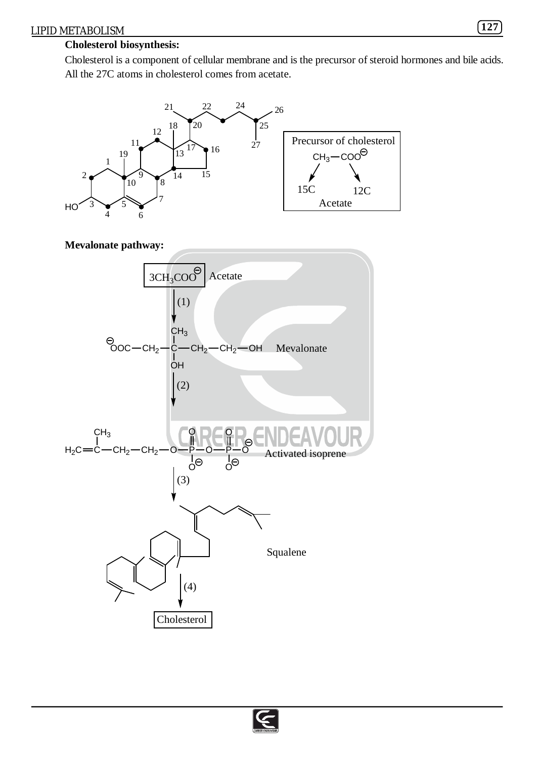## **Cholesterol biosynthesis:**

Cholesterol is a component of cellular membrane and is the precursor of steroid hormones and bile acids. All the 27C atoms in cholesterol comes from acetate.



**Mevalonate pathway:**